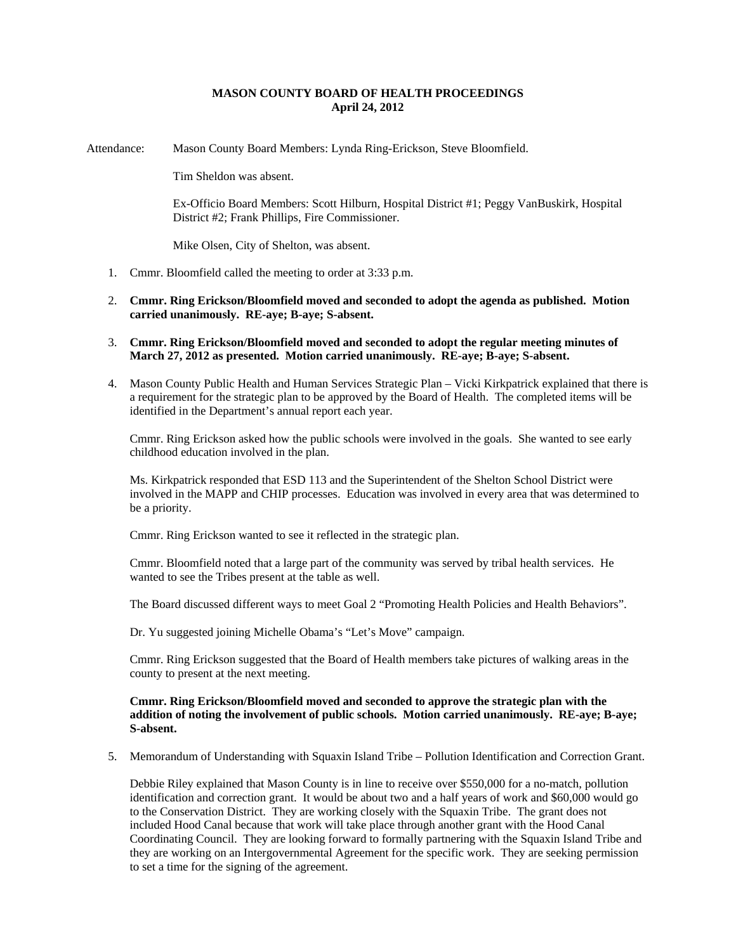## **MASON COUNTY BOARD OF HEALTH PROCEEDINGS April 24, 2012**

Attendance: Mason County Board Members: Lynda Ring-Erickson, Steve Bloomfield.

Tim Sheldon was absent.

Ex-Officio Board Members: Scott Hilburn, Hospital District #1; Peggy VanBuskirk, Hospital District #2; Frank Phillips, Fire Commissioner.

Mike Olsen, City of Shelton, was absent.

- 1. Cmmr. Bloomfield called the meeting to order at 3:33 p.m.
- 2. **Cmmr. Ring Erickson/Bloomfield moved and seconded to adopt the agenda as published. Motion carried unanimously. RE-aye; B-aye; S-absent.**
- 3. **Cmmr. Ring Erickson/Bloomfield moved and seconded to adopt the regular meeting minutes of March 27, 2012 as presented. Motion carried unanimously. RE-aye; B-aye; S-absent.**
- 4. Mason County Public Health and Human Services Strategic Plan Vicki Kirkpatrick explained that there is a requirement for the strategic plan to be approved by the Board of Health. The completed items will be identified in the Department's annual report each year.

Cmmr. Ring Erickson asked how the public schools were involved in the goals. She wanted to see early childhood education involved in the plan.

Ms. Kirkpatrick responded that ESD 113 and the Superintendent of the Shelton School District were involved in the MAPP and CHIP processes. Education was involved in every area that was determined to be a priority.

Cmmr. Ring Erickson wanted to see it reflected in the strategic plan.

Cmmr. Bloomfield noted that a large part of the community was served by tribal health services. He wanted to see the Tribes present at the table as well.

The Board discussed different ways to meet Goal 2 "Promoting Health Policies and Health Behaviors".

Dr. Yu suggested joining Michelle Obama's "Let's Move" campaign.

Cmmr. Ring Erickson suggested that the Board of Health members take pictures of walking areas in the county to present at the next meeting.

## **Cmmr. Ring Erickson/Bloomfield moved and seconded to approve the strategic plan with the addition of noting the involvement of public schools. Motion carried unanimously. RE-aye; B-aye; S-absent.**

5. Memorandum of Understanding with Squaxin Island Tribe – Pollution Identification and Correction Grant.

Debbie Riley explained that Mason County is in line to receive over \$550,000 for a no-match, pollution identification and correction grant. It would be about two and a half years of work and \$60,000 would go to the Conservation District. They are working closely with the Squaxin Tribe. The grant does not included Hood Canal because that work will take place through another grant with the Hood Canal Coordinating Council. They are looking forward to formally partnering with the Squaxin Island Tribe and they are working on an Intergovernmental Agreement for the specific work. They are seeking permission to set a time for the signing of the agreement.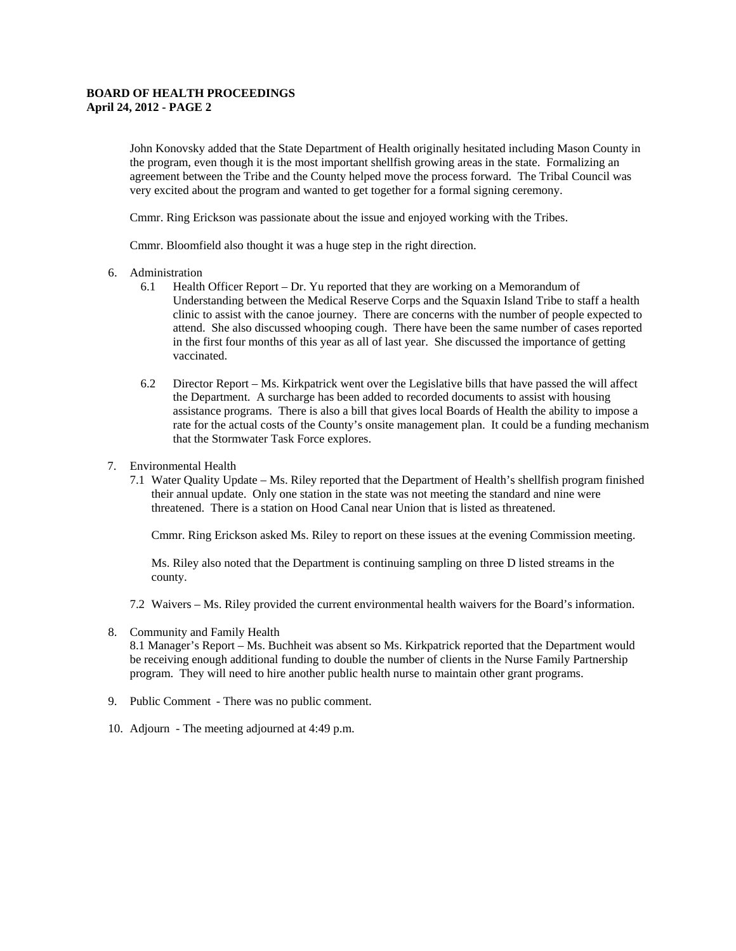## **BOARD OF HEALTH PROCEEDINGS April 24, 2012 - PAGE 2**

John Konovsky added that the State Department of Health originally hesitated including Mason County in the program, even though it is the most important shellfish growing areas in the state. Formalizing an agreement between the Tribe and the County helped move the process forward. The Tribal Council was very excited about the program and wanted to get together for a formal signing ceremony.

Cmmr. Ring Erickson was passionate about the issue and enjoyed working with the Tribes.

Cmmr. Bloomfield also thought it was a huge step in the right direction.

- 6. Administration
	- 6.1 Health Officer Report Dr. Yu reported that they are working on a Memorandum of Understanding between the Medical Reserve Corps and the Squaxin Island Tribe to staff a health clinic to assist with the canoe journey. There are concerns with the number of people expected to attend. She also discussed whooping cough. There have been the same number of cases reported in the first four months of this year as all of last year. She discussed the importance of getting vaccinated.
	- 6.2 Director Report Ms. Kirkpatrick went over the Legislative bills that have passed the will affect the Department. A surcharge has been added to recorded documents to assist with housing assistance programs. There is also a bill that gives local Boards of Health the ability to impose a rate for the actual costs of the County's onsite management plan. It could be a funding mechanism that the Stormwater Task Force explores.
- 7. Environmental Health
	- 7.1 Water Quality Update Ms. Riley reported that the Department of Health's shellfish program finished their annual update. Only one station in the state was not meeting the standard and nine were threatened. There is a station on Hood Canal near Union that is listed as threatened.

Cmmr. Ring Erickson asked Ms. Riley to report on these issues at the evening Commission meeting.

Ms. Riley also noted that the Department is continuing sampling on three D listed streams in the county.

- 7.2 Waivers Ms. Riley provided the current environmental health waivers for the Board's information.
- 8. Community and Family Health

8.1 Manager's Report – Ms. Buchheit was absent so Ms. Kirkpatrick reported that the Department would be receiving enough additional funding to double the number of clients in the Nurse Family Partnership program. They will need to hire another public health nurse to maintain other grant programs.

- 9. Public Comment There was no public comment.
- 10. Adjourn The meeting adjourned at 4:49 p.m.